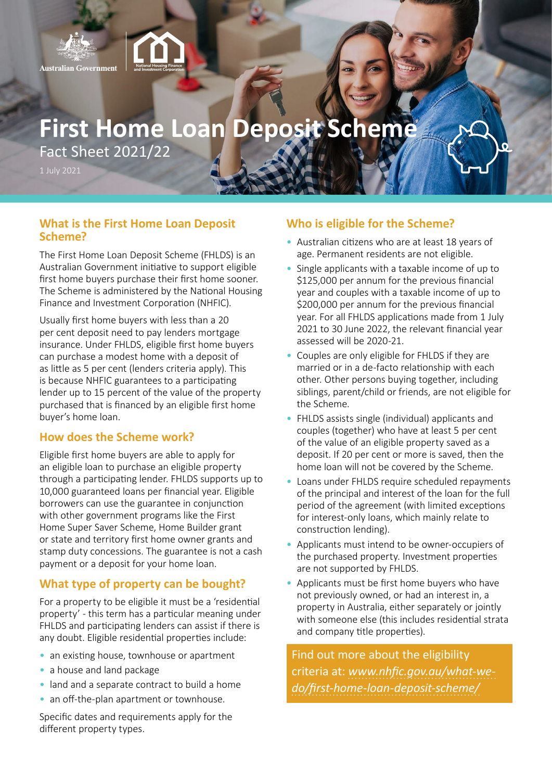

# **First Home Loan Deposit Scheme**

Fact Sheet 2021/22

## **What is the First Home Loan Deposit Scheme?**

The First Home Loan Deposit Scheme (FHLDS) is an Australian Government initiative to support eligible first home buyers purchase their first home sooner. The Scheme is administered by the National Housing Finance and Investment Corporation (NHFIC).

Usually first home buyers with less than a 20 per cent deposit need to pay lenders mortgage insurance. Under FHLDS, eligible first home buyers can purchase a modest home with a deposit of as little as 5 per cent (lenders criteria apply). This is because NHFIC guarantees to a participating lender up to 15 percent of the value of the property purchased that is financed by an eligible first home buyer's home loan.

#### **How does the Scheme work?**

Eligible first home buyers are able to apply for an eligible loan to purchase an eligible property through a participating lender. FHLDS supports up to 10,000 guaranteed loans per financial year. Eligible borrowers can use the guarantee in conjunction with other government programs like the First Home Super Saver Scheme, Home Builder grant or state and territory first home owner grants and stamp duty concessions. The guarantee is not a cash payment or a deposit for your home loan.

## **What type of property can be bought?**

For a property to be eligible it must be a 'residential property' - this term has a particular meaning under FHLDS and participating lenders can assist if there is any doubt. Eligible residential properties include:

- an existing house, townhouse or apartment
- a house and land package
- land and a separate contract to build a home
- an off-the-plan apartment or townhouse.

Specific dates and requirements apply for the different property types.

### **Who is eligible for the Scheme?**

- Australian citizens who are at least 18 years of age. Permanent residents are not eligible.
- Single applicants with a taxable income of up to \$125,000 per annum for the previous financial year and couples with a taxable income of up to \$200,000 per annum for the previous financial year. For all FHLDS applications made from 1 July 2021 to 30 June 2022, the relevant financial year assessed will be 2020-21.
- Couples are only eligible for FHLDS if they are married or in a de-facto relationship with each other. Other persons buying together, including siblings, parent/child or friends, are not eligible for the Scheme.
- FHLDS assists single (individual) applicants and couples (together) who have at least 5 per cent of the value of an eligible property saved as a deposit. If 20 per cent or more is saved, then the home loan will not be covered by the Scheme.
- Loans under FHLDS require scheduled repayments of the principal and interest of the loan for the full period of the agreement (with limited exceptions for interest-only loans, which mainly relate to construction lending).
- Applicants must intend to be owner-occupiers of the purchased property. Investment properties are not supported by FHLDS.
- Applicants must be first home buyers who have not previously owned, or had an interest in, a property in Australia, either separately or jointly with someone else (this includes residential strata and company title properties).

Find out more about the eligibility criteria at: *[www.nhfic.gov.au/what-we](https://www.nhfic.gov.au/what-we-do/first-home-loan-deposit-scheme/)[do/first-home-loan-deposit-scheme/](https://www.nhfic.gov.au/what-we-do/first-home-loan-deposit-scheme/)*